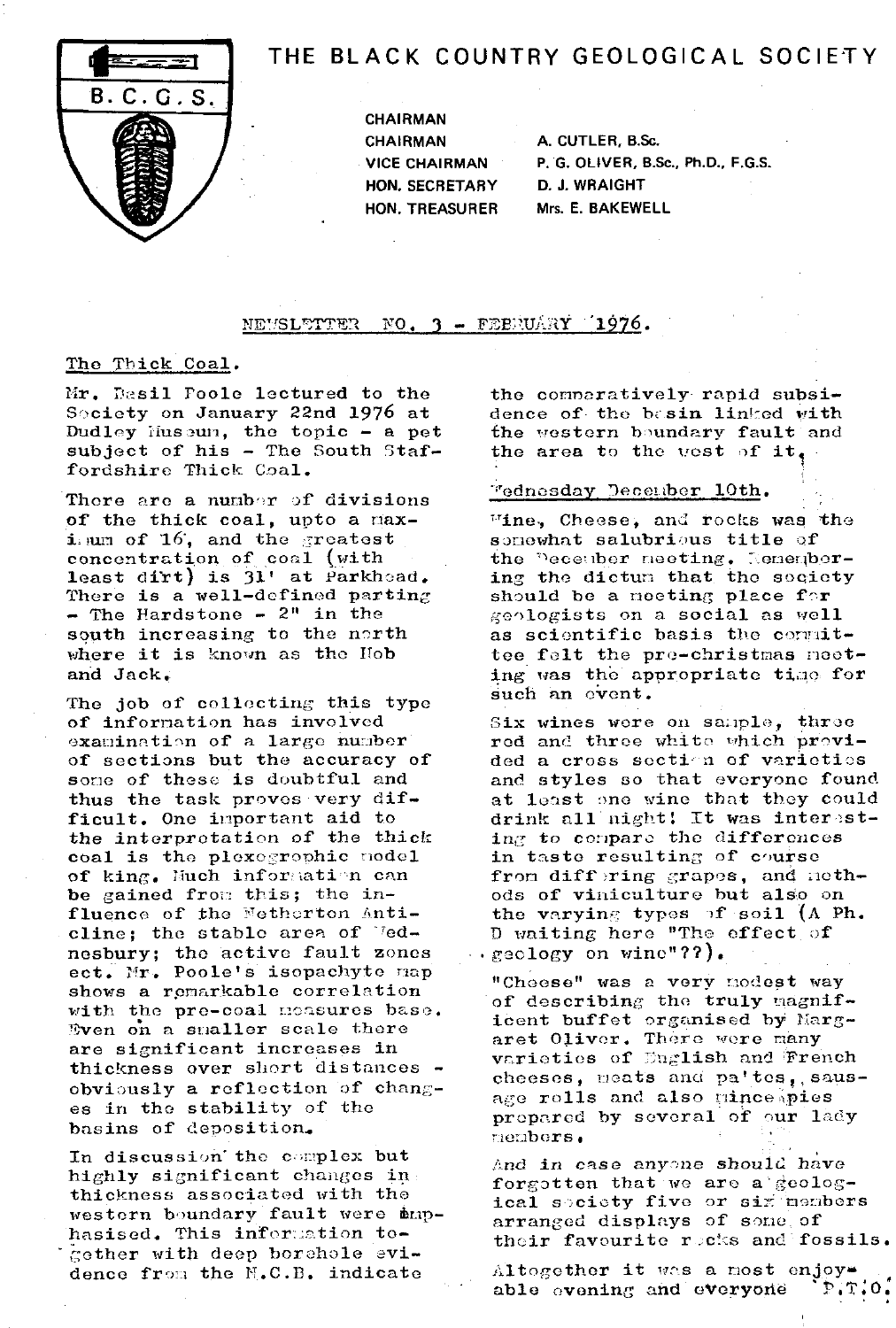

# THE BLACK COUNTRY GEOLOGICAL SOCIETY

CHAIRMAN CHAIRMAN A. CUTLER, B.Sc. HON. SECRETARY D. J. WRAIGHT

VICE CHAIRMAN P. G. OLIVER, B.Sc., Ph.D., F.G.S. HON. TREASURER Mrs. E. BAKEWELL

#### NEVSLETTER  $\,$  NO. 3 - FEBRUARY  $\,$   $\,$  1976.

## The Thick Coal .

Mr. Dasil Poole lectured to the Society on January 22nd 1976 at Dudley Huseun, the topic - a pet subject of his - The South Staffordshire Thick Coal.

There are a number of divisions of the thick coal, upto a maximum of  $16$ , and the greatest concentration of coal (with least dirt) is  $31'$  at Parkhoad. There is a well-defined parting  $\div$  The Hardstone  $\div$  2" in the south increasing to the north where it is known as the Hob and Jack.

The job of collecting this type of information has involved examination of a large number of sections but the accuracy of some of these is doubtful and thus the task proves very difficult. One important aid to the interpretation of the thick coal is the plexogrophic model of king. Much information can be gained from this; the influence of the Netherton Anticline; the stable area of  $\text{''ed}$ nesbury; the active fault zones ect. Mr. Poole's isopachyte map shows a remarkable correlation with the pre-coal measures base. Even on a smaller scale there are significant increases in thickness over short distances obviously a reflection of changes in the stability of the basins of deposition..

In discussion the complex but highly significant changes in thickness associated with the western boundary fault were thenhasised. This information together with deep borehole evidence from the N.C.B. indicate

the conneratively rapid subsidence of the basin linked with the western boundary fault and the area to the west of it.

# 'ednesday December 10th.

 $m$ ine, Cheese, and rocks was the somewhat salubrious title of the meeting. Remembering the dictum that the society should be a meeting place for geologists on a social as well as scientific basis the conmittee felt the pro-christmas meeting was the appropriate time for such an event.

Six wines were on sample, three red and three white which provided a cross soction of varieties and styles so that everyone found at least one wine that they could drink all night! It was interesting to compare the differences in taste resulting of course from diff ring grapes, and methods of viniculture but also on the varying types of soil (A Ph. D waiting hero "The affect of geology on wine"??).

"Cheese" was a very modest way of describing the truly magnificent buffet organised by Margaret Olivor. There were many varieties of English and French cheeses, meats and pa'tes, sausage rolls and also mince pies prepared by several of our lady  $m$ embers.

And in case anyone should have forgotten that we are a  $geo1$ ogical society five or six members arranged displays of some of their favourite recks and fossils.

Altogether it was a most enjoy\*<br>able evening and everyone [P.T.O. able evening and everyone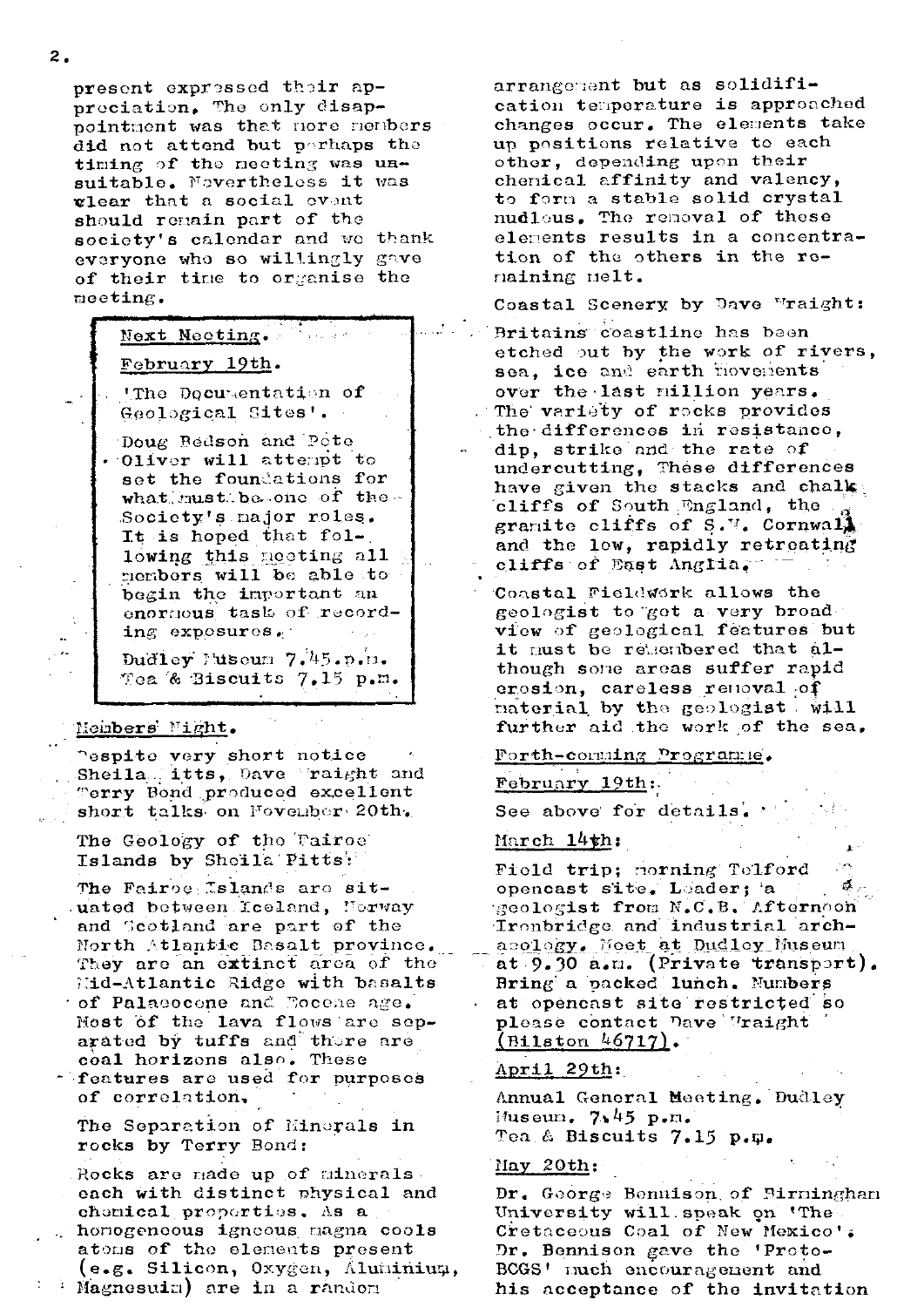present expressed their appreciation. The only disappointment was that nore members did not attend but perhaps the timing of the meeting was unsuitable. Novertheless it was vlear that a social event should remain part of the society's calendar and we thank everyone who so willingly gave of their time to organise the meeting.

# Next Necting. February 19th.

'The Documentation of Geological Sites'.

Doug Bedson and Pote . Oliver will attempt to set the foundations for what must be one of the Society's najor roles. It is hoped that following this neeting all members will be able to begin the important an enormous task of recording  $exposurcs$ .

Dudley Museum 7.45.p.m. Tea & Biscuits 7.15 p.m.

#### Mombers Might.

espite very short notice Sheila itts, Dave raight and Terry Bond produced excellent short talks on Fovenber 20th.

The Geology of the Tairoe Islands by Sheila Pitts:

The Fairoe Islands are situated between Iceland, Norway and Scotland are part of the North Atlantic Basalt province. They are an extinct area of the Mid-Atlantic Ridge with basalts of Palaeocone and Focene age. Most of the lava flows are separated by tuffs and thore are coal horizons also. These features are used for purposes

of correlation.

The Separation of Minerals in rocks by Terry Bond:

Rocks are made up of minerals each with distinct physical and chemical properties. As a homogeneous igneous magna cools atoms of the elements present (e.g. Silicon, Oxygen, Aluminium,  $\vdash$  : Magnesuim) are in a random

arrangement but as solidification temperature is approached changes occur. The elements take un positions relative to each other, depending upon their chenical affinity and valency, to form a stable solid crystal nudleus. The removal of these elements results in a concentration of the others in the remaining melt.

Coastal Scenery by Dave Mraight: Britains coastline has been etched out by the work of rivers, sea, ice and earth flovements over the last million years. The variety of rocks provides the differences in resistance, dip, strike and the rate of undercutting, These differences have given the stacks and chalk cliffs of South England, the gramite cliffs of  $S$ .  $\mathbb{V}$ . Cornwall and the low, rapidly retreating cliffs of East Anglia.

Coastal Fieldwork allows the geologist to got a very broad view of geological features but it must be retembered that although some areas suffer rapid crosion, careless renoval of naterial by the geologist will further aid the work of the sea.

# <u> Forth-comming Programme</u>.

# February 19th:

See above for details.

# March 14th:

Field trip; morning Telford opencast site. Leader; a geologist from N.C.B. Afternoon Ironbridge and industrial archasology. Moet at Dudley Museum at 9.30 a.m. (Private transport). Bring a packed lunch. Numbers at opencast site restricted so please contact Dave Vraight  $(Biltston 46717)$ .

# April 29th:

Annual General Meeting. Dudley Museum.  $7.45$  p.m. Tea & Biscuits  $7.15$  p.m.

# May 20th:

Dr. George Bennison of Birningham University will speak on 'The Cretaceous Coal of New Mexico'; Dr. Bennison gave the 'Proto-BCGS' much encouragement and his acceptance of the invitation

 $2.$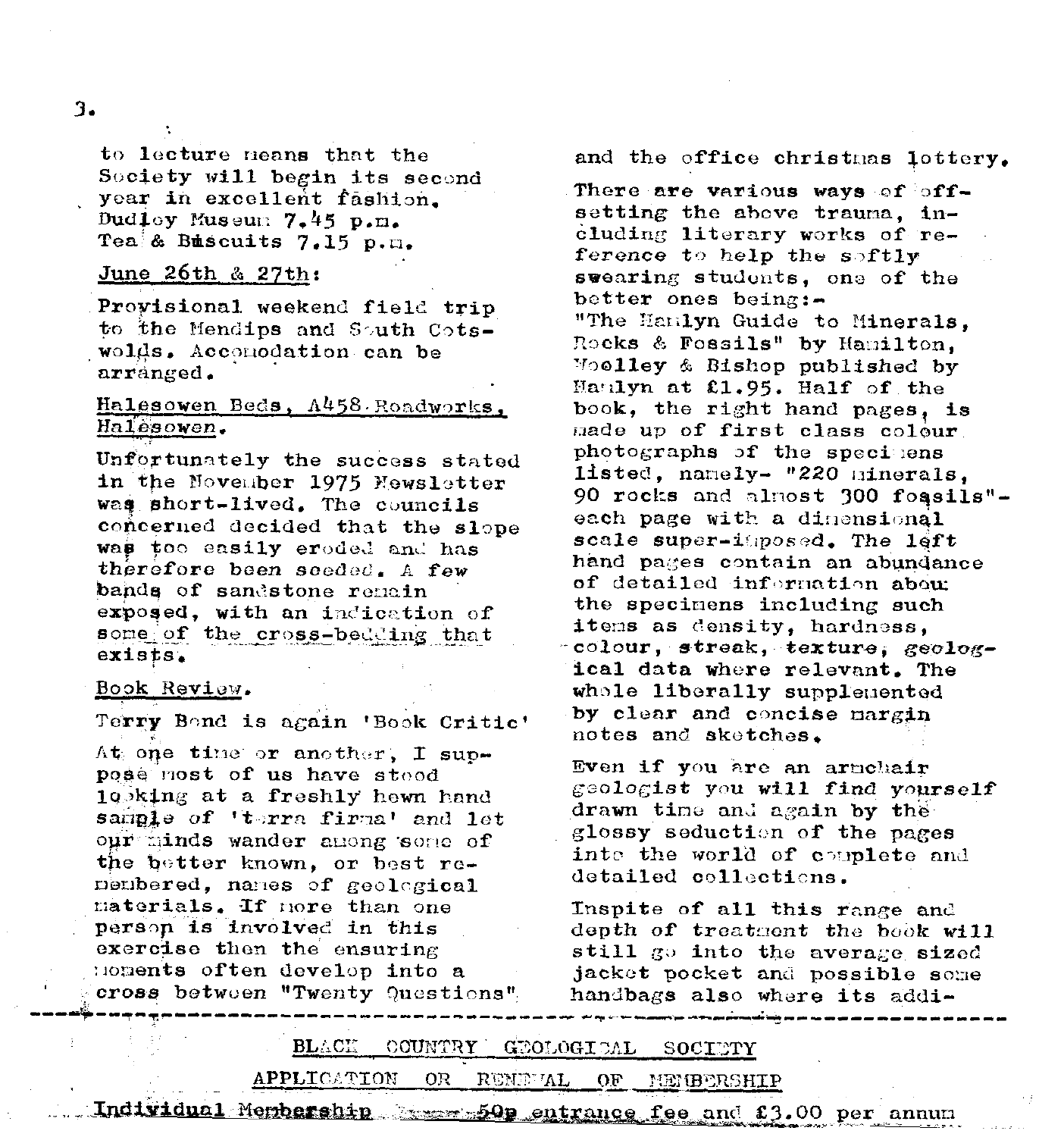### $3.$

to lecture means that the Society will begin its second year in excellent fashion. Dudley Museum 7.45 p.m. Tea & Buscuits 7.15 p.m.

#### <u>June 26th & 27th:</u>

Provisional weekend field trip to the Mendips and South Cotswolds. Accomodation can be arranged.

# Halesowen Beds, A458 Roadworks, Halesowen.

Unfortunately the success stated in the November 1975 Newsletter was short-lived. The councils concerned decided that the slope was too easily eroded and has therefore been seeded. A few bands of sandstone remain exposed, with an indication of some of the cross-bedding that  $exists$ .

#### <u> Book Review.</u>

Terry Bond is again 'Book Critic'

At one time or another, I suppose most of us have stood 10bking at a freshly hewn hand sariple of 'terra firma' and let  $\text{our}$  minds wander among some of the better known, or best re $periodered$ , names of geological materials. If nore than one person is involved in this exercise then the ensuring noments often develop into a cross between "Twenty Questions" and the office christmas lottery.

There are various ways of offsetting the above trauma. including literary works of reference to help the softly swearing students, one of the better ones being: $-$ "The Hanlyn Guide to Minerals, Rocks & Fossils" by Hamilton. Woolley & Bishop published by Manlyn at £1.95. Half of the book, the right hand pages, is made up of first class colour photographs of the specimens listed, namely- "220 minerals, 90 rocks and almost 300 foasils"each page with a dinensional scale super-itposed. The left hand pages contain an abundance of detailed information about the specimens including such items as density, hardness, colour, streak, texture, geological data where relevant. The whole liberally supplemented by clear and concise margin notes and sketches.

Even if you are an armchair geologist you will find yourself drawn time and again by the glossy seduction of the pages into the world of couplete and detailed collections.

Inspite of all this range and depth of treatment the book will still go into the average sized jacket pocket and possible some handbags also where its addi-

**BLACK** GEOLOGICAL COUNTRY  $\mathop{\rm SOCTTFT}$ 

APPLICATION 0R RENEVAL OF. MEMBERSHIP

Individual Membership and 50p entrance fee and £3.00 per annum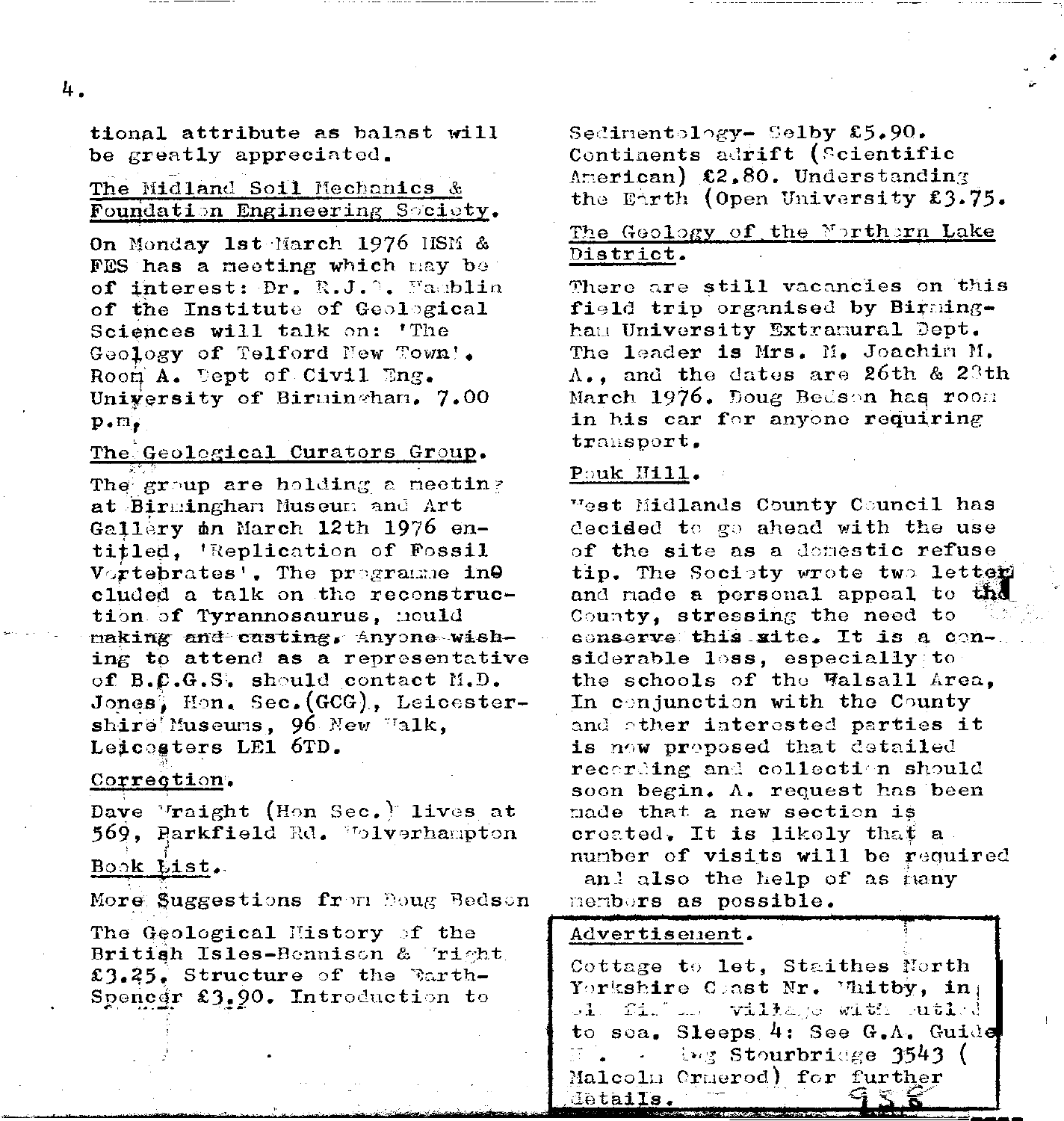tional attribute as balast will be greatly appreciated.

# The Midland Soil Mechanics & Foundation Engineering Society.

On Monday 1st March 1976 HSM & FES has a meeting which may be of interest: Dr. R.J.<sup>3</sup>. Famblin of the Institute of Geological Sciences will talk on: 'The Geology of Telford New Town'. Room A. Dept of Civil Eng. University of Birmingham. 7.00  $p_{\bullet}m_{\bullet}$ 

#### The Geological Curators Group.

The group are holding a meeting at Birmingham Museum and Art Gallery on March 12th 1976 entitled, 'Replication of Fossil Vortebrates'. The programme ine cluded a talk on the reconstruction of Tyrannosaurus, nould making and casting, Anyone wishing to attend as a representative of B.C.G.S. should contact M.D. Jones, Hon. Sec. (GCG), Leicestershire Museums, 96 New Walk, Leicosters LE1 6TD.

#### Correction.

Dave Vraight (Hon Sec.) lives at 569. Parkfield Rd. Wolverhampton Book List.

More Suggestions from Doug Bedson

The Geological History of the British Isles-Bennison & Tright £3.25. Structure of the Barth-Spencer £3.90. Introduction to

Sedimentology- Selby  $$5,90.$ Continents adrift (Scientific American) £2.80. Understanding the Earth (Open University £3.75.

## The Geology of the Northern Lake District.

There are still vacancies on this field trip organised by Birmingham University Extramural Dept. The leader is Mrs. M. Joachin M.  $A_{\bullet}$ , and the dates are 26th & 28th March 1976. Doug Bedson has room in his car for anyone requiring transport.

#### Pouk Hill.

West Midlands County Council has decided to go ahead with the use of the site as a domestic refuse tip. The Society wrote two letter and made a personal appeal to the County, stressing the need to conserve this site. It is a considerable loss, especially to the schools of the Walsall Area, In conjunction with the County and other interested parties it is now proposed that detailed recording and collection should soon begin.  $\Lambda$ . request has been made that a new section is created. It is likely that a number of visits will be required and also the help of as hany members as possible.

#### Advertisement.

Cottage to let, Staithes North Yorkshire Coast Nr. Whitby, in: ol. fil am village with utled to sea. Sleeps 4: See G.A. Guide ing Stourbridge 3543 ( Malcolm Cruerod) for further details.